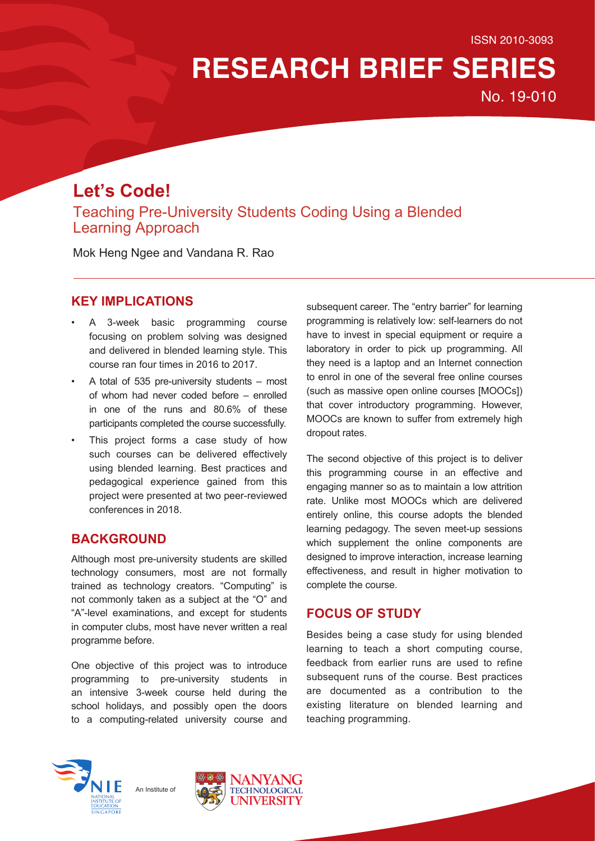# **RESEARCH BRIEF SERIES**

No. 19-010

# **Let's Code!**

Teaching Pre-University Students Coding Using a Blended Learning Approach

Mok Heng Ngee and Vandana R. Rao

# **KEY IMPLICATIONS**

- A 3-week basic programming course focusing on problem solving was designed and delivered in blended learning style. This course ran four times in 2016 to 2017.
- A total of 535 pre-university students most of whom had never coded before – enrolled in one of the runs and 80.6% of these participants completed the course successfully.
- This project forms a case study of how such courses can be delivered effectively using blended learning. Best practices and pedagogical experience gained from this project were presented at two peer-reviewed conferences in 2018.

# **BACKGROUND**

Although most pre-university students are skilled technology consumers, most are not formally trained as technology creators. "Computing" is not commonly taken as a subject at the "O" and "A"-level examinations, and except for students in computer clubs, most have never written a real programme before.

One objective of this project was to introduce programming to pre-university students in an intensive 3-week course held during the school holidays, and possibly open the doors to a computing-related university course and

subsequent career. The "entry barrier" for learning programming is relatively low: self-learners do not have to invest in special equipment or require a laboratory in order to pick up programming. All they need is a laptop and an Internet connection to enrol in one of the several free online courses (such as massive open online courses [MOOCs]) that cover introductory programming. However, MOOCs are known to suffer from extremely high dropout rates.

The second objective of this project is to deliver this programming course in an effective and engaging manner so as to maintain a low attrition rate. Unlike most MOOCs which are delivered entirely online, this course adopts the blended learning pedagogy. The seven meet-up sessions which supplement the online components are designed to improve interaction, increase learning effectiveness, and result in higher motivation to complete the course.

# **FOCUS OF STUDY**

Besides being a case study for using blended learning to teach a short computing course, feedback from earlier runs are used to refine subsequent runs of the course. Best practices are documented as a contribution to the existing literature on blended learning and teaching programming.